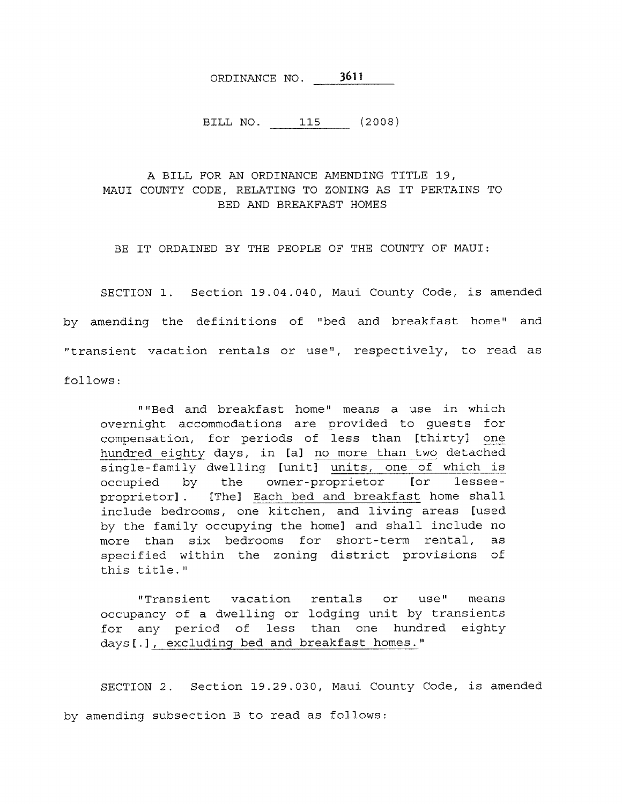ORDINANCE NO. 3611

BILL NO. 115 (2008)

## A BILL FOR AN ORDINANCE AMENDING TITLE 19, MAUI COUNTY CODE, RELATING TO ZONING AS IT PERTAINS TO BED AND BREAKFAST HOMES

BE IT ORDAINED BY THE PEOPLE OF THE COUNTY OF MAUI:

SECTION 1. Section 19.04.040, Maui County Code, is amended by amending the definitions of "bed and breakfast home" and "transient vacation rentals or use", respectively, to read as

follows:

""Bed and breakfast home" means a use in which overnight accommodations are provided to guests for compensation, for periods of less than [thirty] one hundred eighty days, in [a] no more than two detached single-family dwelling [unit] units, one of which is occupied by the owner-proprietor [or lesseeproprietor]. [The] Each bed and breakfast home shall include bedrooms, one kitchen, and living areas [used by the family occupying the home] and shall include no more than six bedrooms for short-term rental, as specified within the zoning district provisions of this title."

"Transient vacation rentals or use" means occupancy of a dwelling or lodging unit by transients for any period of less than one hundred eighty days[.], excluding bed and breakfast homes."

SECTION 2. Section 19.29.030, Maui County Code, is amended by amending subsection B to read as follows: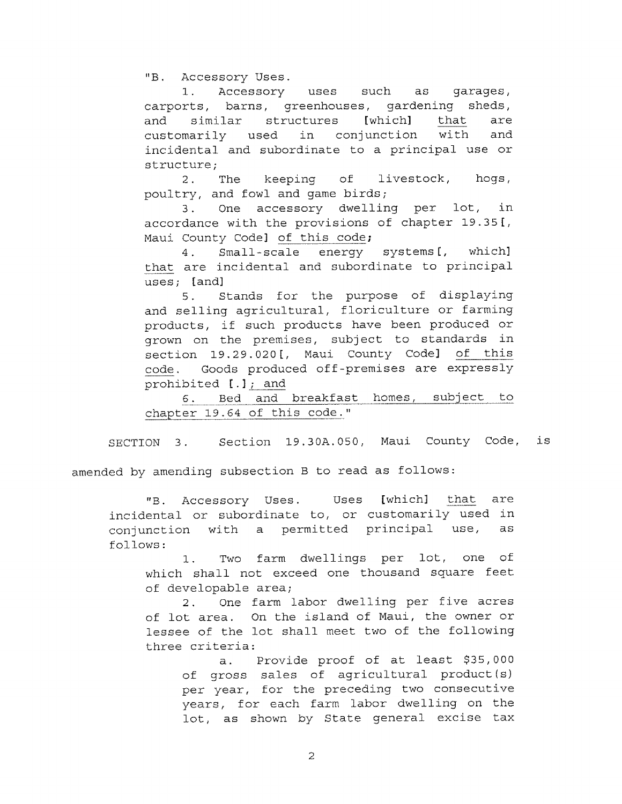"B. Accessory Uses.

1. Accessory uses such as garages, carports, barns, greenhouses, gardening sheds, and similar structures [which] that are customarily used in conjunction with and incidental and subordinate to a principal use or structure;

2. The keeping of livestock, hogs, poultry, and fowl and game birds;

3. One accessory dwelling per lot, in accordance with the provisions of chapter 19.35[, Maui County Code] of this code;

4. Small-scale energy systems[, which] that are incidental and subordinate to principal uses; [and]

5. Stands for the purpose of displaying and selling agricultural, floriculture or farming products, if such products have been produced or grown on the premises, subject to standards in section 19.29.020[, Maui County Code] of this code. Goods produced off-premises are expressly prohibited [.]; and

6. Bed and breakfast homes, subject to chapter 19.64 of this code."

SECTION 3. Section 19.30A.050, Maui County Code, is

amended by amending subsection B to read as follows:

"B. Accessory Uses. Uses [which] that are incidental or subordinate to, or customarily used in conjunction with a permitted principal use, as follows:

1. Two farm dwellings per lot, one of which shall not exceed one thousand square feet of developable area;

2. One farm labor dwelling per five acres of lot area. On the island of Maui, the owner or lessee of the lot shall meet two of the following three criteria:

a. Provide proof of at least \$35,000 of gross sales of agricultural product(s) per year, for the preceding two consecutive years, for each farm labor dwelling on the lot, as shown by State general excise tax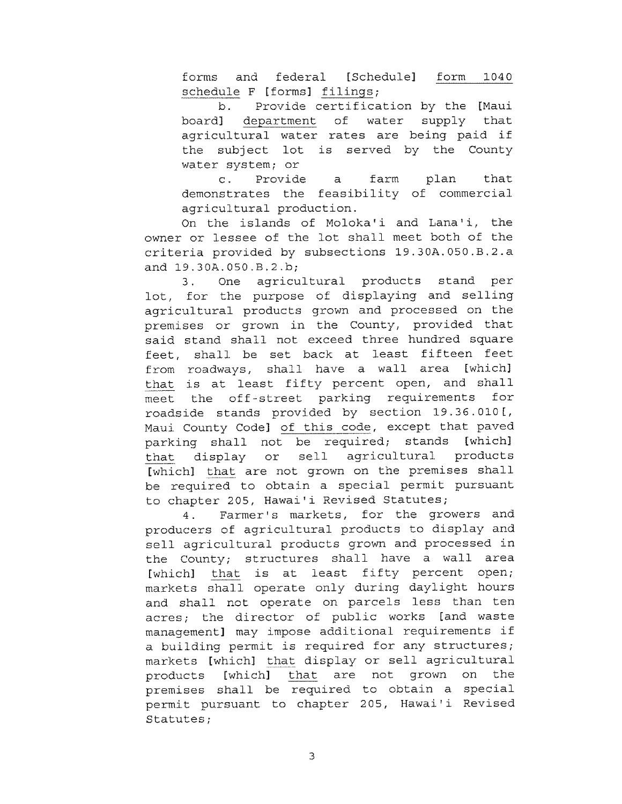forms and federal [Schedule] form 1040 schedule F [forms] filings;

b. Provide certification by the [Maui board] department of water supply that agricultural water rates are being paid if the subject lot is served by the County water system; or

c. Provide a farm plan that demonstrates the feasibility of commercial agricultural production.

On the islands of Moloka'i and Lana'i, the owner or lessee of the lot shall meet both of the criteria provided by subsections 19.30A.050.B.2.a and 19.30A.050,B.2.b;

3. One agricultural products stand per lot, for the purpose of displaying and selling agricultural products grown and processed on the premises or grown in the County, provided that said stand shall not exceed three hundred square feet, shall be set back at least fifteen feet from roadways, shall have a wall area [which] that is at least fifty percent open, and shall meet the off-street parking requirements for roadside stands provided by section 19.36.010[, Maui County Code] of this code, except that paved parking shall not be required; stands [which] that display or sell agricultural products [which] that are not grown on the premises shall be required to obtain a special permit pursuant to chapter 205, Hawai'i Revised Statutes;

4. Farmer's markets, for the growers and producers of agricultural products to display and sell agricultural products grown and processed in the County; structures shall have a wall area [which] that is at least fifty percent open; markets shall operate only during daylight hours and shall not operate on parcels less than ten acres; the director of public works [and waste management] may impose additional requirements if a building permit is required for any structures; markets [which] that display or sell agricultural products [which] that are not grown on the premises shall be required to obtain a special permit pursuant to chapter 205, Hawai'i Revised Statutes;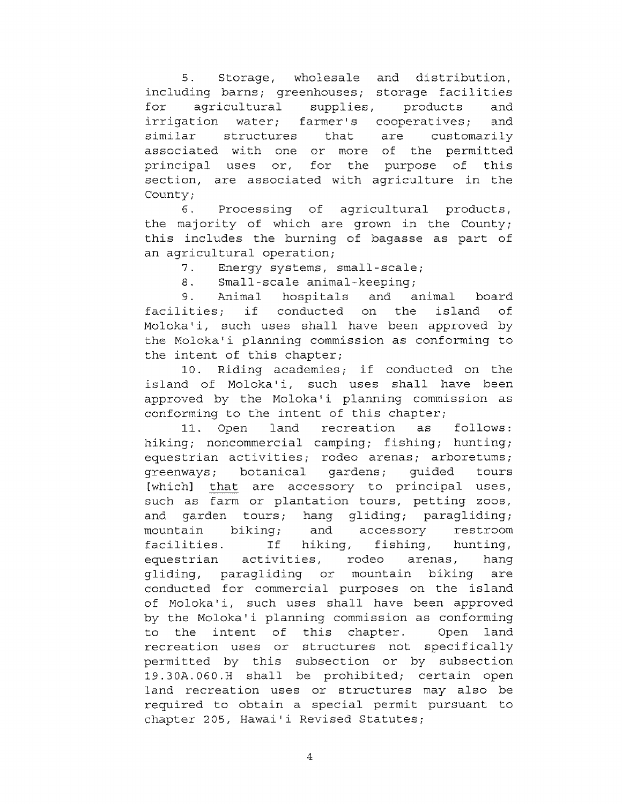5. Storage, wholesale and distribution, including barns; greenhouses; storage facilities for agricultural supplies, products and irrigation water; farmer's cooperatives; and similar structures that are customarily associated with one or more of the permitted principal uses or, for the purpose of this section, are associated with agriculture in the County;

6. Processing of agricultural products, the majority of which are grown in the County; this includes the burning of bagasse as part of an agricultural operation;

7. Energy systems, small-scale;

8. Small-scale animal-keeping;

9. Animal hospitals and animal board facilities; if conducted on the island of Moloka'i, such uses shall have been approved by the Molokali planning commission as conforming to the intent of this chapter;

10. Riding academies; if conducted on the island of Moloka'i, such uses shall have been approved by the Moloka'i planning commission as conforming to the intent of this chapter;

11. Open land recreation as follows: hiking; noncommercial camping; fishing; hunting; equestrian activities; rodeo arenas; arboretums; greenways; botanical gardens; guided tours [which] that are accessory to principal uses, such as farm or plantation tours, petting zoos, and garden tours; hang gliding; paragliding; mountain biking; and accessory restroom facilities. If hiking, fishing, hunting, equestrian activities, rodeo arenas, hang gliding, paragliding or mountain biking are conducted for commercial purposes on the island of Moloka'i, such uses shall have been approved by the Moloka'i planning commission as conforming to the intent of this chapter. Open land recreation uses or structures not specifically permitted by this subsection or by subsection 19.30A.060.H shall be prohibited; certain open land recreation uses or structures may also be required to obtain a special permit pursuant to chapter 205, Hawai'i Revised Statutes;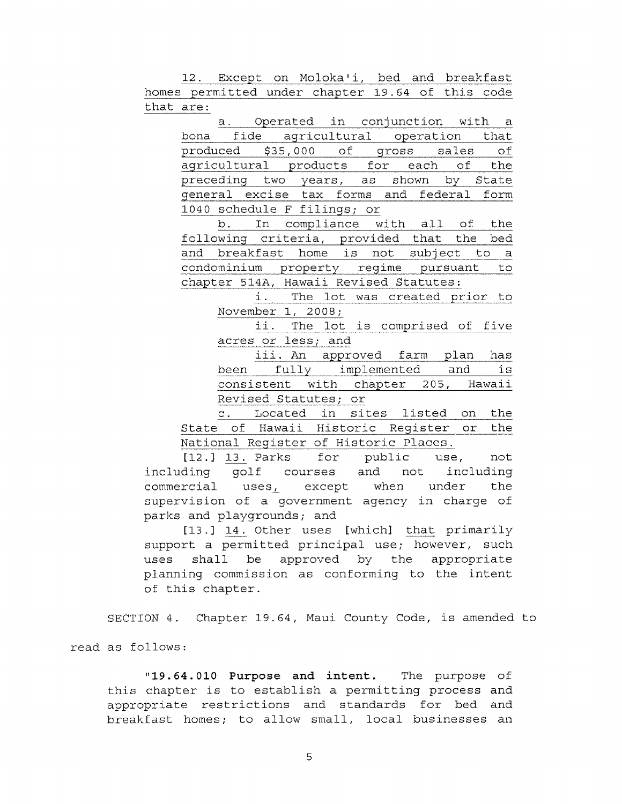12. Except on Moloka'i, bed and breakfast homes permitted under chapter 19.64 of this code that are:

a. Operated in conjunction with a bona fide agricultural operation that produced \$35,000 of gross sales of agricultural products for each of the preceding two years, as shown by State general excise tax forms and federal form 1040 schedule F filings; or

b. In compliance with all of the following criteria, provided that the bed and breakfast home is not subject to a condominium property regime pursuant to chapter 514A, Hawaii Revised Statutes:

> i. The lot was created prior to November 1, 2008;

> ii. The lot is comprised of five acres or less; and

> iii. An approved farm plan has been fully implemented and is consistent with chapter 205, Hawaii Revised Statutes; or

c. Located in sites listed on the State of Hawaii Historic Register or the National Register of Historic Places,

[12.] 13. Parks for public use, not including golf courses and not including commercial uses, except when under the supervision of a government agency in charge of parks and playgrounds; and

[13.] 14. Other uses [which] that primarily support a permitted principal use; however, such uses shall be approved by the appropriate planning commission as conforming to the intent of this chapter.

SECTION 4. Chapter 19.64, Maui County Code, is amended to

read as follows:

"19.64.010 Purpose and intent. The purpose of this chapter is to establish a permitting process and appropriate restrictions and standards for bed and breakfast homes; to allow small, local businesses an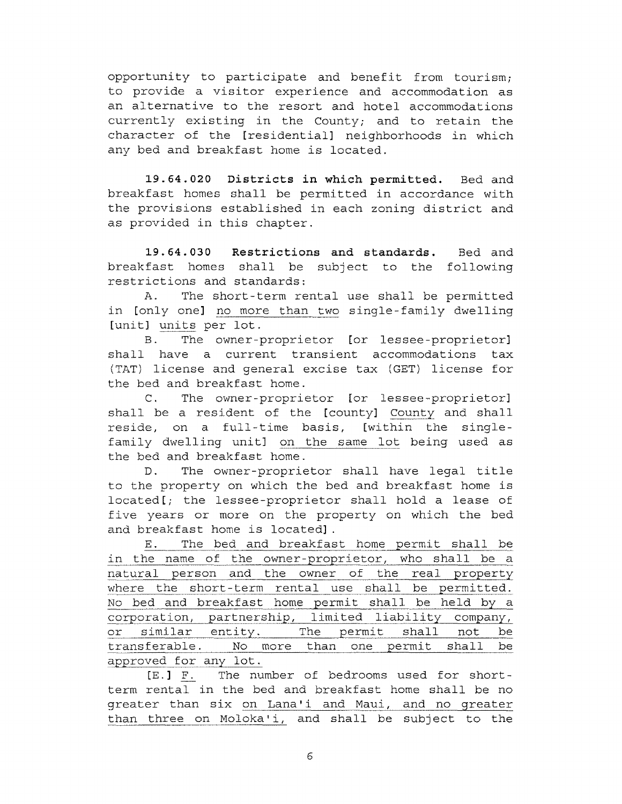opportunity to participate and benefit from tourism; to provide a visitor experience and accommodation as an alternative to the resort and hotel accommodations currently existing in the County; and to retain the character of the [residential] neighborhoods in which any bed and breakfast home is located.

19.64.020 Districts in which permitted. Bed and breakfast homes shall be permitted in accordance with the provisions established in each zoning district and as provided in this chapter.

19.64.030 Restrictions and standards. Bed and breakfast homes shall be subject to the following restrictions and standards:

A. The short-term rental use shall be permitted in [only one] no more than two single-family dwelling [unit] units per lot.

B. The owner-proprietor [or lessee-proprietor] shall have a current transient accommodations tax (TAT) license and general excise tax (GET) license for the bed and breakfast home.

C. The owner-proprietor [or lessee-proprietor] shall be a resident of the [county] County and shall reside, on a full-time basis, [within the singlefamily dwelling unit] on the same lot being used as the bed and breakfast home.

D. The owner-proprietor shall have legal title to the property on which the bed and breakfast home is located[; the lessee-proprietor shall hold a lease of five years or more on the property on which the bed and breakfast home is located].

E. The bed and breakfast home permit shall be in the name of the owner-proprietor, who shall be a natural person and the owner of the real property where the short-term rental use shall be permitted. No bed and breakfast home permit shall be held by a corporation, partnership, limited liability company, or similar entity. The permit shall not be transferable. No more than one permit shall be approved for any lot.

[E.] F. The number of bedrooms used for shortterm rental in the bed and breakfast home shall be no greater than six on Lana'i and Maui, and no greater than three on Moloka'i, and shall be subject to the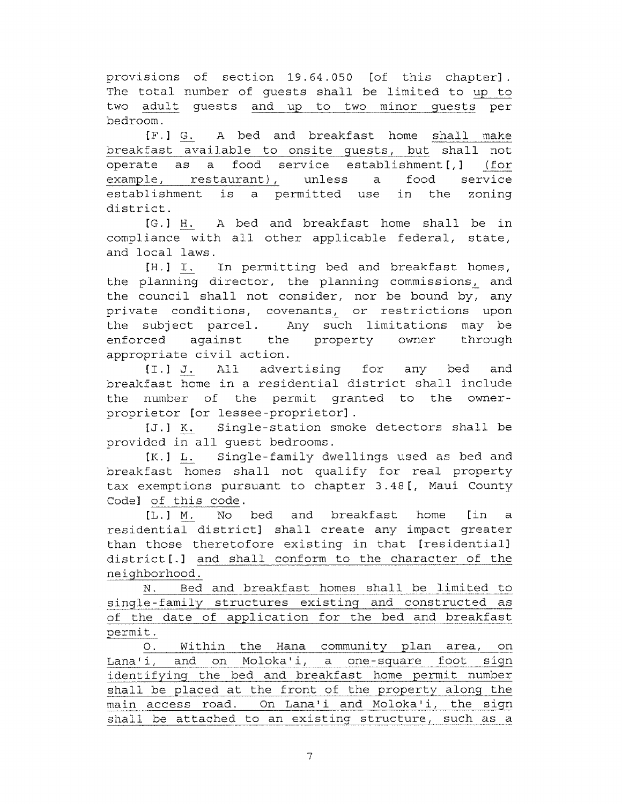provisions of section 19.64.050 [of this chapter]. The total number of guests shall be limited to up to two adult guests and up to two minor guests per bedroom.

[F.] G. A bed and breakfast home shall make breakfast available to onsite guests, but shall not operate as a food service establishment[,] (for example, restaurant), unless a food service establishment is a permitted use in the zoning district.

[G.] H. A bed and breakfast home shall be in compliance with all other applicable federal, state, and local laws.

[H.] T. In permitting bed and breakfast homes, the planning director, the planning commissions, and the council shall not consider, nor be bound by, any private conditions, covenants, or restrictions upon the subject parcel. Any such limitations may be enforced against the property owner through appropriate civil action.

[I.] J. All advertising for any bed and breakfast home in a residential district shall include the number of the permit granted to the ownerproprietor [or lessee-proprietor].

[J.] K. Single-station smoke detectors shall be provided in all guest bedrooms.

[K.] L. Single-family dwellings used as bed and breakfast homes shall not qualify for real property tax exemptions pursuant to chapter 3.48[, Maui County Code] of this code.

[L.] M. No bed and breakfast home [in a residential district] shall create any impact greater than those theretofore existing in that [residential] district[.] and shall conform to the character of the neighborhood.

N. Bed and breakfast homes shall be limited to single-family structures existing and constructed as of the date of application for the bed and breakfast permit.

0. Within the Hana community plan area, on Lana'i, and on Moloka'i, a one-square foot sign identifying the bed and breakfast home permit number shall be placed at the front of the property along the main access road. On Lana'i and Moloka'i, the sign shall be attached to an existing structure, such as a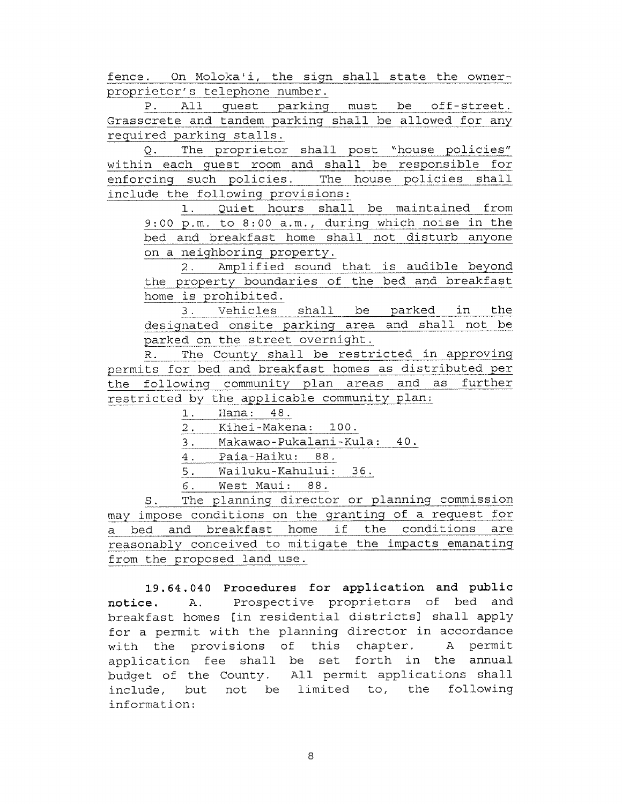fence. On Moloka'i, the sign shall state the ownerproprietor's telephone number.

P. All guest parking must be off-street. Grasscrete and tandem parking shall be allowed for any required parking stalls.

Q. The proprietor shall post "house policies" within each guest room and shall be responsible for enforcing such policies. The house policies shall include the following provisions:

1. Quiet hours shall be maintained from 9:00 p.m. to 8:00 a.m., during which noise in the bed and breakfast home shall not disturb anyone on a neighboring property.

2. Amplified sound that is audible beyond the property boundaries of the bed and breakfast home is prohibited.

3. Vehicles shall be parked in the designated onsite parking area and shall not be parked on the street overnight.

R. The County shall be restricted in approving permits for bed and breakfast homes as distributed per the following community plan areas and as further restricted by the applicable community plan:

- 1. Hana: 48.
- 2. Kihei-Makena: 100.
- 3. Makawao-Pukalani-Kula: 40.
- 4. Paia-Haiku: 88.
- 5. Wailuku-Kahului: 36.
- G. West Maui: 88.

S. The planning director or planning commission may impose conditions on the granting of a request for a bed and breakfast home if the conditions are reasonably conceived to mitigate the impacts emanating from the proposed land use.

19.64.040 Procedures for application and public notice. A. Prospective proprietors of bed and breakfast homes [in residential districts] shall apply for a permit with the planning director in accordance with the provisions of this chapter. A permit application fee shall be set forth in the annual budget of the County. All permit applications shall include, but not be limited to, the following information: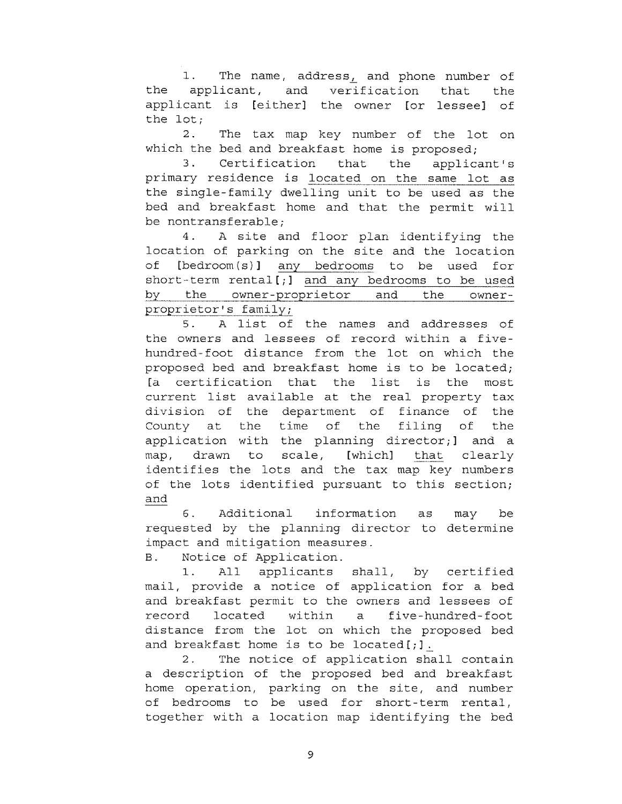1. The name, address, and phone number of the applicant, and verification that the applicant is [either] the owner [or lessee] of the lot;

2. The tax map key number of the lot on which the bed and breakfast home is proposed;

3. Certification that the applicant's primary residence is located on the same lot as the single-family dwelling unit to be used as the bed and breakfast home and that the permit will be nontransferable;

4. A site and floor plan identifying the location of parking on the site and the location of [bedroom(s)] any bedrooms to be used for short-term rental[;] and any bedrooms to be used by the owner-proprietor and the ownerproprietor's family;

5. A list of the names and addresses of the owners and lessees of record within a fivehundred-foot distance from the lot on which the proposed bed and breakfast home is to be located; [a certification that the list is the most current list available at the real property tax division of the department of finance of the County at the time of the filing of the application with the planning director;] and a map, drawn to scale, [which] that clearly identifies the lots and the tax map key numbers of the lots identified pursuant to this section; and

6. Additional information as may be requested by the planning director to determine impact and mitigation measures.

B. Notice of Application.

1. All applicants shall, by certified mail, provide a notice of application for a bed and breakfast permit to the owners and lessees of record located within a five-hundred-foot distance from the lot on which the proposed bed and breakfast home is to be located $[j]$ .

2. The notice of application shall contain a description of the proposed bed and breakfast home operation, parking on the site, and number of bedrooms to be used for short-term rental, together with a location map identifying the bed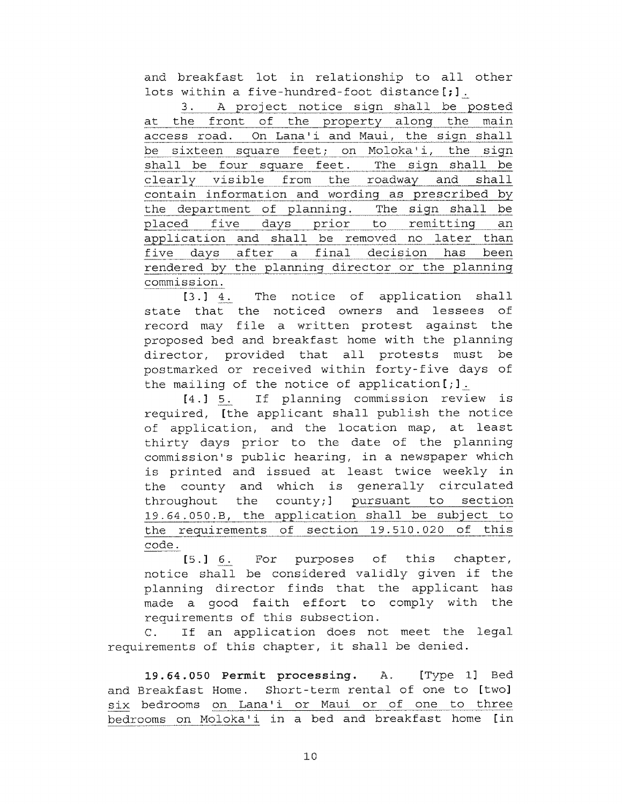and breakfast lot in relationship to all other lots within a five-hundred-foot distance[;].

3. A project notice sign shall be posted at the front of the property along the main access road. On Lana'i and Maui, the sign shall be sixteen square feet; on Moloka'i, the sign shall be four square feet. The sign shall be clearly visible from the roadway and shall contain information and wording as prescribed by the department of planning. The sign shall be placed five days prior to remitting an application and shall be removed no later than five days after a final decision has been rendered by the planning director or the planning commission.

[3.] 4. The notice of application shall state that the noticed owners and lessees of record may file a written protest against the proposed bed and breakfast home with the planning director, provided that all protests must be postmarked or received within forty-five days of the mailing of the notice of application[;].

[4.] 5. If planning commission review is required, [the applicant shall publish the notice of application, and the location map, at least thirty days prior to the date of the planning commission's public hearing, in a newspaper which is printed and issued at least twice weekly in the county and which is generally circulated throughout the county;] pursuant to section 19.64.050.B, the application shall be subject to the requirements of section 19.510.020 of this code.

[5.] 6. For purposes of this chapter, notice shall be considered validly given if the planning director finds that the applicant has made a good faith effort to comply with the requirements of this subsection.

C. If an application does not meet the legal requirements of this chapter, it shall be denied.

19.64.050 Permit processing. A. [Type 1] Bed and Breakfast Home. Short-term rental of one to [two] six bedrooms on Lana'i or Maui or of one to three bedrooms on Moloka'i in a bed and breakfast home [in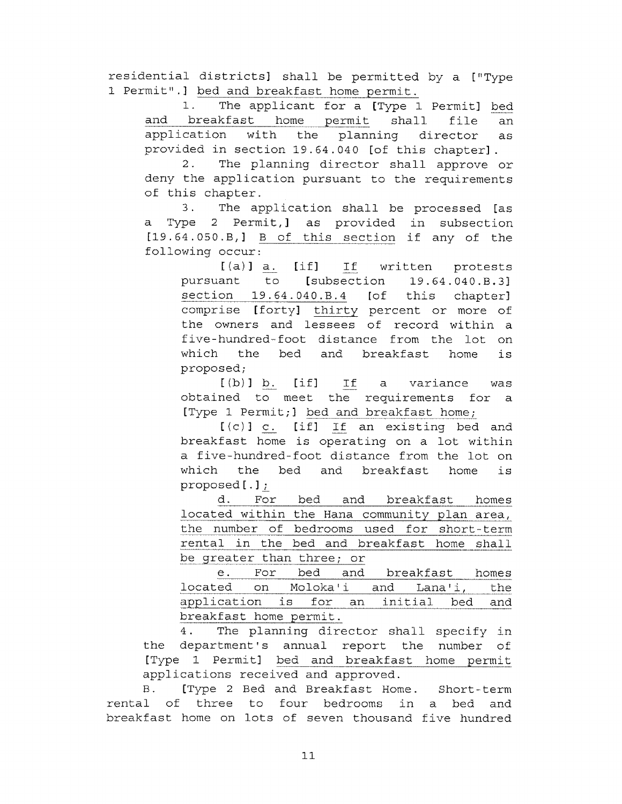residential districts] shall be permitted by a ["Type 1 Permit".] bed and breakfast home permit.

1. The applicant for a [Type 1 Permit] bed and breakfast home permit shall file an application with the planning director as provided in section 19.64.040 [of this chapter].

2. The planning director shall approve or deny the application pursuant to the requirements of this chapter.

3. The application shall be processed [as a Type 2 Permit,] as provided in subsection [19.64.050.B,] B of this section if any of the following occur: deny the application pursuant to the requirements<br>of this chapter.<br>3. The application shall be processed [as<br>a Type 2 Permit,] as provided in subsection<br>[19.64.050.B,] <u>B of this section</u> if any of the<br>following occur:<br>[(a

pursuant to [subsection 19.64.040.8.3] section 19.64.040.8.4 [of this chapter] comprise [forty] thirty percent or more of the owners and lessees of record within a five-hundred-foot distance from the lot on which the bed and breakfast home is proposed;

[(b)] b. [if] If a variance was obtained to meet the requirements for a [Type 1 Permit;] bed and breakfast home;

[(c)] c. [if] If an existing bed and breakfast home is operating on a lot within a five-hundred-foot distance from the lot on which the bed and breakfast home is proposed[.];

d. For bed and breakfast homes located within the Hana community plan area, the number of bedrooms used for short-term rental in the bed and breakfast home shall be greater than three; or

e. For bed and breakfast homes located on Moloka'i and Lana'i, the application is for an initial bed and breakfast home permit.

4. The planning director shall specify in the department's annual report the number of [Type 1 Permit] bed and breakfast home permit applications received and approved.

B. [Type 2 Bed and Breakfast Home. Short-term rental of three to four bedrooms in a bed and breakfast home on lots of seven thousand five hundred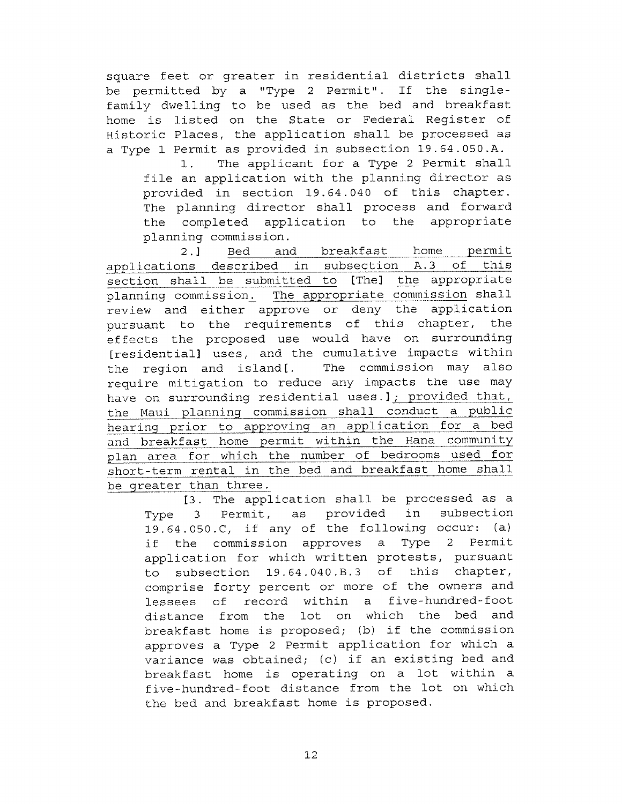square feet or greater in residential districts shall be permitted by a "Type 2 Permit". If the singlefamily dwelling to be used as the bed and breakfast home is listed on the State or Federal Register of Historic Places, the application shall be processed as a Type 1 Permit as provided in subsection 19.64.050.A.

1. The applicant for a Type 2 Permit shall file an application with the planning director as provided in section 19.64.040 of this chapter. The planning director shall process and forward the completed application to the appropriate planning commission.

2.] Bed and breakfast home permit applications described in subsection A.3 of this section shall be submitted to [The] the appropriate planning commission. The appropriate commission shall review and either approve or deny the application pursuant to the requirements of this chapter, the effects the proposed use would have on surrounding [residential] uses, and the cumulative impacts within the region and island[. The commission may also require mitigation to reduce any impacts the use may have on surrounding residential uses.]; provided that, the Maui planning commission shall conduct a public hearing prior to approving an application for a bed and breakfast home permit within the Hana community plan area for which the number of bedrooms used for short-term rental in the bed and breakfast home shall be greater than three.

[3. The application shall be processed as a Type 3 Permit, as provided in subsection 19.64.050.0, if any of the following occur: (a) if the commission approves a Type 2 Permit application for which written protests, pursuant to subsection 19.64.040.B.3 of this chapter, comprise forty percent or more of the owners and lessees of record within a five-hundred-foot distance from the lot on which the bed and breakfast home is proposed; (b) if the commission approves a Type 2 Permit application for which a variance was obtained; (c) if an existing bed and breakfast home is operating on a lot within a five-hundred-foot distance from the lot on which the bed and breakfast home is proposed.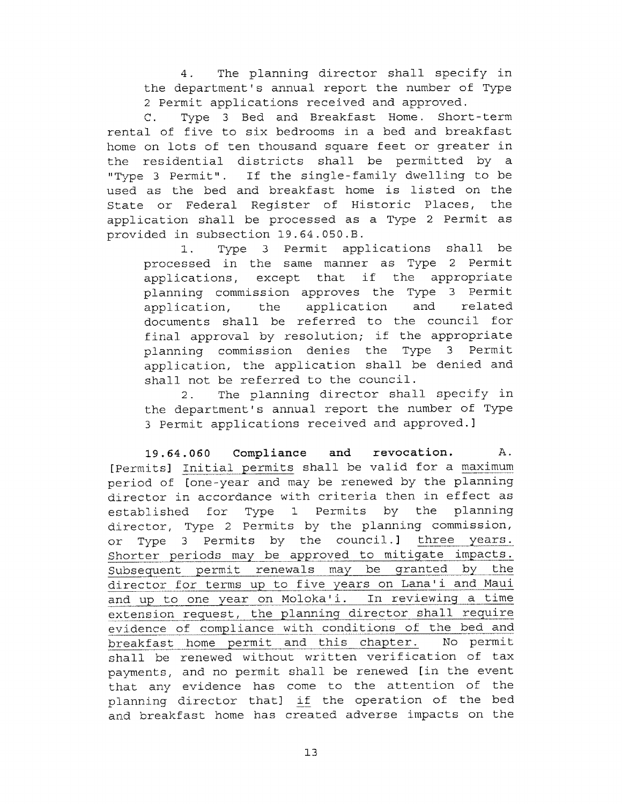4. The planning director shall specify in the department's annual report the number of Type 2 Permit applications received and approved.

C. Type 3 Bed and Breakfast Home. Short-term rental of five to six bedrooms in a bed and breakfast home on lots of ten thousand square feet or greater in the residential districts shall be permitted by a "Type 3 Permit". If the single-family dwelling to be used as the bed and breakfast home is listed on the State or Federal Register of Historic Places, the application shall be processed as a Type 2 Permit as provided in subsection 19.64.050.B.

1. Type 3 Permit applications shall be processed in the same manner as Type 2 Permit applications, except that if the appropriate planning commission approves the Type 3 Permit application, the application and related documents shall be referred to the council for final approval by resolution; if the appropriate planning commission denies the Type 3 Permit application, the application shall be denied and shall not be referred to the council.

2. The planning director shall specify in the department's annual report the number of Type 3 Permit applications received and approved.]

19.64.060 Compliance and revocation. A. [Permits] Initial permits shall be valid for a maximum period of [one-year and may be renewed by the planning director in accordance with criteria then in effect as established for Type 1 Permits by the planning director, Type 2 Permits by the planning commission, or Type 3 Permits by the council.] three years. Shorter periods may be approved to mitigate impacts. Subsequent permit renewals may be granted by the director for terms up to five years on Lana'i and Maui and up to one year on Moloka'i. In reviewing a time extension request, the planning director shall require evidence of compliance with conditions of the bed and breakfast home permit and this chapter. No permit shall be renewed without written verification of tax payments, and no permit shall be renewed [in the event that any evidence has come to the attention of the planning director that] if the operation of the bed and breakfast home has created adverse impacts on the

13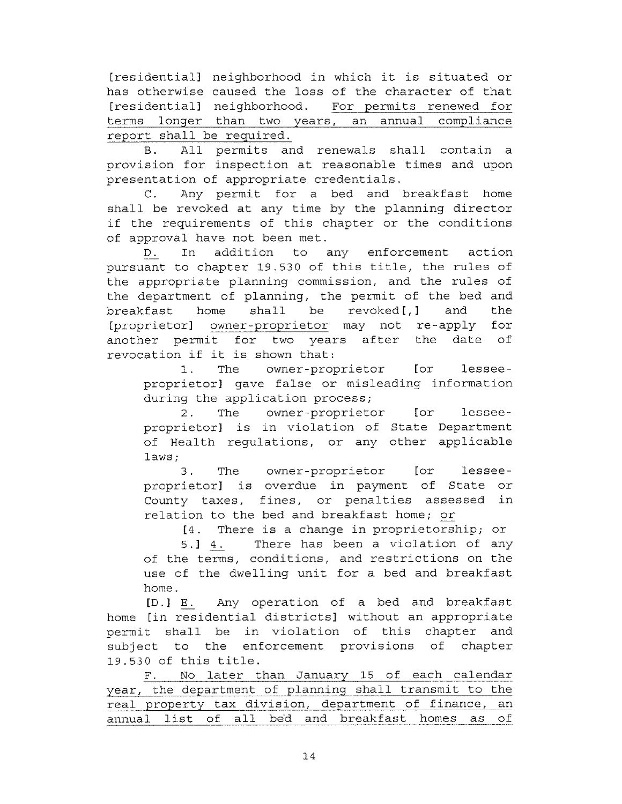[residential] neighborhood in which it is situated or has otherwise caused the loss of the character of that [residential] neighborhood. For permits renewed for terms longer than two years, an annual compliance report shall be required.

B. All permits and renewals shall contain a provision for inspection at reasonable times and upon presentation of appropriate credentials.

C. Any permit for a bed and breakfast home shall be revoked at any time by the planning director if the requirements of this chapter or the conditions of approval have not been met.

D. In addition to any enforcement action pursuant to chapter 19.530 of this title, the rules of the appropriate planning commission, and the rules of the department of planning, the permit of the bed and breakfast home shall be revoked $[t,]$  and the [proprietor] owner-proprietor may not re-apply for another permit for two years after the date of revocation if it is shown that:

1. The owner-proprietor [or lesseeproprietor] gave false or misleading information during the application process;

2. The owner-proprietor [or lesseeproprietor] is in violation of State Department of Health regulations, or any other applicable laws;

3. The owner-proprietor [or lesseeproprietor] is overdue in payment of State or County taxes, fines, or penalties assessed in relation to the bed and breakfast home; or

[4. There is a change in proprietorship; or

5.] 4. There has been a violation of any of the terms, conditions, and restrictions on the use of the dwelling unit for a bed and breakfast home.

[D.] E. Any operation of a bed and breakfast home [in residential districts] without an appropriate permit shall be in violation of this chapter and subject to the enforcement provisions of chapter 19.530 of this title.

F. No later than January 15 of each calendar year, the department of planning shall transmit to the real property tax division, department of finance, an annual list of all bed and breakfast homes as of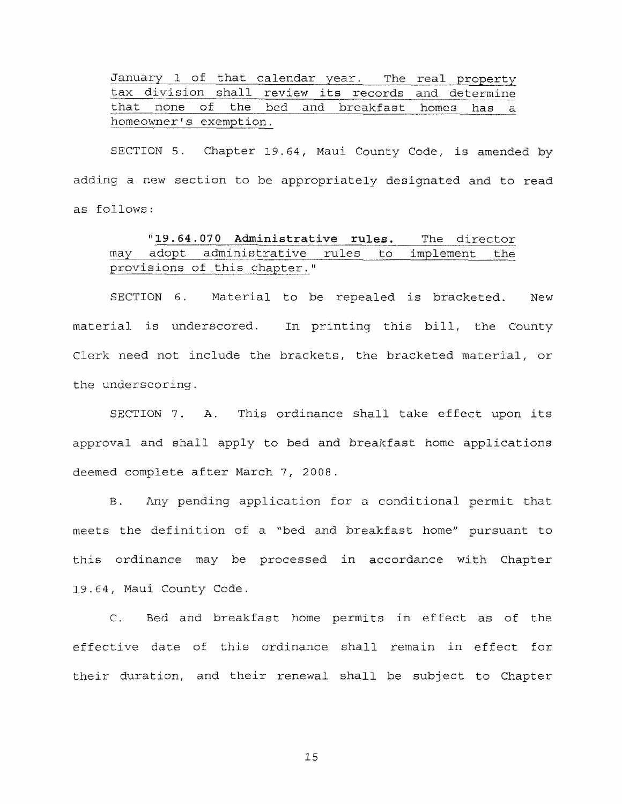January I of that calendar year. The real property tax division shall review its records and determine that none of the bed and breakfast homes has a homeowner's exemption.

SECTION 5. Chapter 19.64, Maui County Code, is amended by adding a new section to be appropriately designated and to read as follows:

## "19.64.070 Administrative rules. The director may adopt administrative rules to implement the provisions of this chapter."

SECTION 6. Material to be repealed is bracketed. New material is underscored. In printing this bill, the County Clerk need not include the brackets, the bracketed material, or the underscoring.

SECTION 7. A. This ordinance shall take effect upon its approval and shall apply to bed and breakfast home applications deemed complete after March 7, 2008.

B. Any pending application for a conditional permit that meets the definition of a "bed and breakfast home" pursuant to this ordinance may be processed in accordance with Chapter 19.64, Maui County Code.

C. Bed and breakfast home permits in effect as of the effective date of this ordinance shall remain in effect for their duration, and their renewal shall be subject to Chapter

15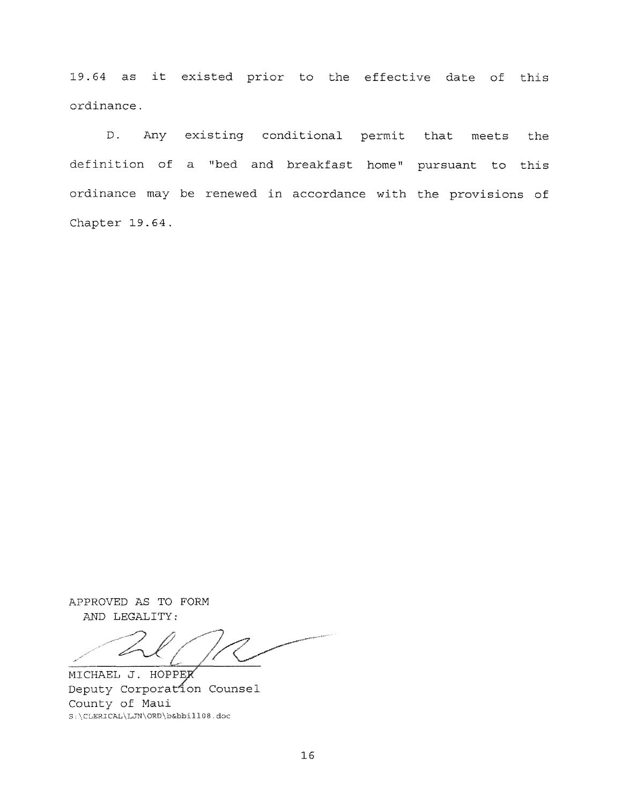19.64 as it existed prior to the effective date of this ordinance.

D. Any existing conditional permit that meets the definition of a "bed and breakfast home" pursuant to this ordinance may be renewed in accordance with the provisions of Chapter 19.64.

APPROVED AS TO FORM AND LEGALITY:

MICHAEL J. HOPPEK Deputy Corporation Counsel County of Maui S:\CLERICAL\LJN\ORD\b &bbill08.doc